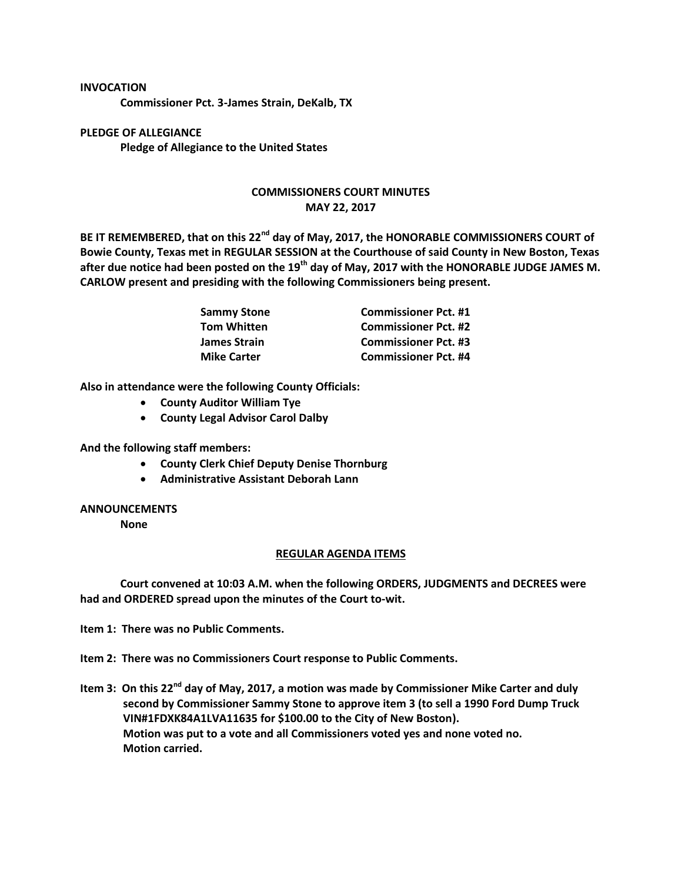## **INVOCATION**

**Commissioner Pct. 3-James Strain, DeKalb, TX**

**PLEDGE OF ALLEGIANCE Pledge of Allegiance to the United States**

## **COMMISSIONERS COURT MINUTES MAY 22, 2017**

**BE IT REMEMBERED, that on this 22nd day of May, 2017, the HONORABLE COMMISSIONERS COURT of Bowie County, Texas met in REGULAR SESSION at the Courthouse of said County in New Boston, Texas after due notice had been posted on the 19th day of May, 2017 with the HONORABLE JUDGE JAMES M. CARLOW present and presiding with the following Commissioners being present.**

| Sammy Stone<br>Tom Whitten | <b>Commissioner Pct. #1</b> |
|----------------------------|-----------------------------|
|                            | <b>Commissioner Pct. #2</b> |
| James Strain               | <b>Commissioner Pct. #3</b> |
| <b>Mike Carter</b>         | <b>Commissioner Pct. #4</b> |

**Also in attendance were the following County Officials:**

- **County Auditor William Tye**
- **County Legal Advisor Carol Dalby**

**And the following staff members:**

- **County Clerk Chief Deputy Denise Thornburg**
- **Administrative Assistant Deborah Lann**

## **ANNOUNCEMENTS**

**None**

## **REGULAR AGENDA ITEMS**

**Court convened at 10:03 A.M. when the following ORDERS, JUDGMENTS and DECREES were had and ORDERED spread upon the minutes of the Court to-wit.**

**Item 1: There was no Public Comments.**

**Item 2: There was no Commissioners Court response to Public Comments.**

**Item 3: On this 22nd day of May, 2017, a motion was made by Commissioner Mike Carter and duly second by Commissioner Sammy Stone to approve item 3 (to sell a 1990 Ford Dump Truck VIN#1FDXK84A1LVA11635 for \$100.00 to the City of New Boston). Motion was put to a vote and all Commissioners voted yes and none voted no. Motion carried.**